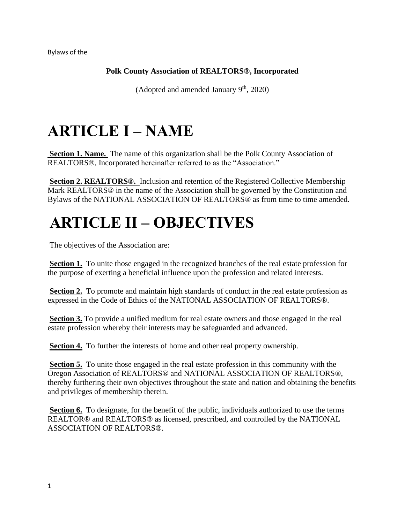Bylaws of the

### **Polk County Association of REALTORS®, Incorporated**

(Adopted and amended January  $9<sup>th</sup>$ , 2020)

# **ARTICLE I – NAME**

**Section 1. Name.** The name of this organization shall be the Polk County Association of REALTORS®, Incorporated hereinafter referred to as the "Association."

**Section 2. REALTORS®.** Inclusion and retention of the Registered Collective Membership Mark REALTORS® in the name of the Association shall be governed by the Constitution and Bylaws of the NATIONAL ASSOCIATION OF REALTORS® as from time to time amended.

### **ARTICLE II – OBJECTIVES**

The objectives of the Association are:

**Section 1.** To unite those engaged in the recognized branches of the real estate profession for the purpose of exerting a beneficial influence upon the profession and related interests.

**Section 2.** To promote and maintain high standards of conduct in the real estate profession as expressed in the Code of Ethics of the NATIONAL ASSOCIATION OF REALTORS®.

**Section 3.** To provide a unified medium for real estate owners and those engaged in the real estate profession whereby their interests may be safeguarded and advanced.

**Section 4.** To further the interests of home and other real property ownership.

**Section 5.** To unite those engaged in the real estate profession in this community with the Oregon Association of REALTORS® and NATIONAL ASSOCIATION OF REALTORS®, thereby furthering their own objectives throughout the state and nation and obtaining the benefits and privileges of membership therein.

**Section 6.** To designate, for the benefit of the public, individuals authorized to use the terms REALTOR® and REALTORS® as licensed, prescribed, and controlled by the NATIONAL ASSOCIATION OF REALTORS®.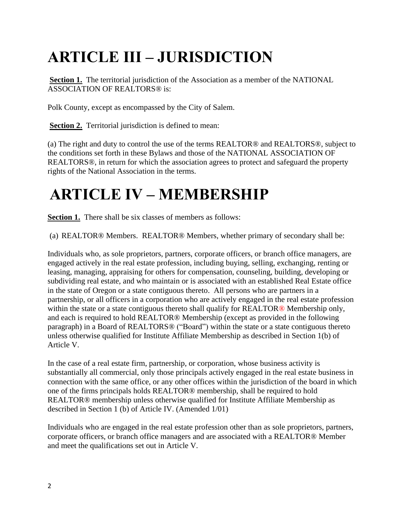# **ARTICLE III – JURISDICTION**

Section 1. The territorial jurisdiction of the Association as a member of the NATIONAL ASSOCIATION OF REALTORS® is:

Polk County, except as encompassed by the City of Salem.

**Section 2.** Territorial jurisdiction is defined to mean:

(a) The right and duty to control the use of the terms REALTOR® and REALTORS®, subject to the conditions set forth in these Bylaws and those of the NATIONAL ASSOCIATION OF REALTORS®, in return for which the association agrees to protect and safeguard the property rights of the National Association in the terms.

### **ARTICLE IV – MEMBERSHIP**

**Section 1.** There shall be six classes of members as follows:

(a) REALTOR® Members. REALTOR® Members, whether primary of secondary shall be:

Individuals who, as sole proprietors, partners, corporate officers, or branch office managers, are engaged actively in the real estate profession, including buying, selling, exchanging, renting or leasing, managing, appraising for others for compensation, counseling, building, developing or subdividing real estate, and who maintain or is associated with an established Real Estate office in the state of Oregon or a state contiguous thereto. All persons who are partners in a partnership, or all officers in a corporation who are actively engaged in the real estate profession within the state or a state contiguous thereto shall qualify for REALTOR<sup>®</sup> Membership only, and each is required to hold REALTOR® Membership (except as provided in the following paragraph) in a Board of REALTORS® ("Board") within the state or a state contiguous thereto unless otherwise qualified for Institute Affiliate Membership as described in Section 1(b) of Article V.

In the case of a real estate firm, partnership, or corporation, whose business activity is substantially all commercial, only those principals actively engaged in the real estate business in connection with the same office, or any other offices within the jurisdiction of the board in which one of the firms principals holds REALTOR® membership, shall be required to hold REALTOR® membership unless otherwise qualified for Institute Affiliate Membership as described in Section 1 (b) of Article IV. (Amended 1/01)

Individuals who are engaged in the real estate profession other than as sole proprietors, partners, corporate officers, or branch office managers and are associated with a REALTOR® Member and meet the qualifications set out in Article V.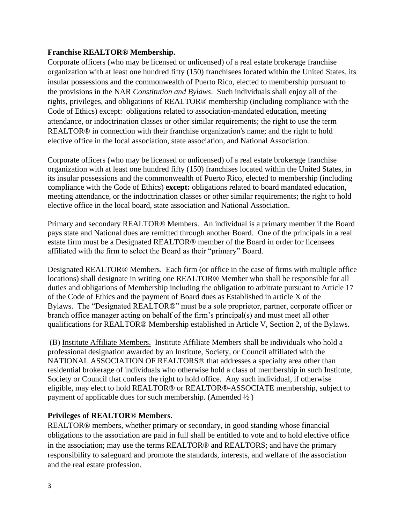#### **Franchise REALTOR® Membership.**

Corporate officers (who may be licensed or unlicensed) of a real estate brokerage franchise organization with at least one hundred fifty (150) franchisees located within the United States, its insular possessions and the commonwealth of Puerto Rico, elected to membership pursuant to the provisions in the NAR *Constitution and Bylaws*. Such individuals shall enjoy all of the rights, privileges, and obligations of REALTOR® membership (including compliance with the Code of Ethics) except: obligations related to association-mandated education, meeting attendance, or indoctrination classes or other similar requirements; the right to use the term REALTOR® in connection with their franchise organization's name; and the right to hold elective office in the local association, state association, and National Association.

Corporate officers (who may be licensed or unlicensed) of a real estate brokerage franchise organization with at least one hundred fifty (150) franchises located within the United States, in its insular possessions and the commonwealth of Puerto Rico, elected to membership (including compliance with the Code of Ethics) **except:** obligations related to board mandated education, meeting attendance, or the indoctrination classes or other similar requirements; the right to hold elective office in the local board, state association and National Association.

Primary and secondary REALTOR® Members. An individual is a primary member if the Board pays state and National dues are remitted through another Board. One of the principals in a real estate firm must be a Designated REALTOR® member of the Board in order for licensees affiliated with the firm to select the Board as their "primary" Board.

Designated REALTOR® Members. Each firm (or office in the case of firms with multiple office locations) shall designate in writing one REALTOR® Member who shall be responsible for all duties and obligations of Membership including the obligation to arbitrate pursuant to Article 17 of the Code of Ethics and the payment of Board dues as Established in article X of the Bylaws. The "Designated REALTOR®" must be a sole proprietor, partner, corporate officer or branch office manager acting on behalf of the firm's principal(s) and must meet all other qualifications for REALTOR® Membership established in Article V, Section 2, of the Bylaws.

(B) Institute Affiliate Members. Institute Affiliate Members shall be individuals who hold a professional designation awarded by an Institute, Society, or Council affiliated with the NATIONAL ASSOCIATION OF REALTORS® that addresses a specialty area other than residential brokerage of individuals who otherwise hold a class of membership in such Institute, Society or Council that confers the right to hold office. Any such individual, if otherwise eligible, may elect to hold REALTOR® or REALTOR®-ASSOCIATE membership, subject to payment of applicable dues for such membership. (Amended ½ )

#### **Privileges of REALTOR® Members.**

REALTOR® members, whether primary or secondary, in good standing whose financial obligations to the association are paid in full shall be entitled to vote and to hold elective office in the association; may use the terms REALTOR® and REALTORS; and have the primary responsibility to safeguard and promote the standards, interests, and welfare of the association and the real estate profession.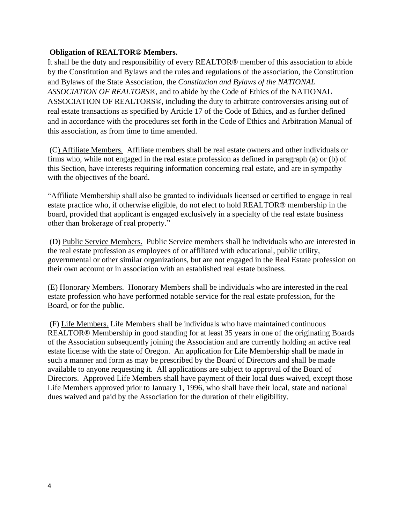#### **Obligation of REALTOR® Members.**

It shall be the duty and responsibility of every REALTOR® member of this association to abide by the Constitution and Bylaws and the rules and regulations of the association, the Constitution and Bylaws of the State Association, the *Constitution and Bylaws of the NATIONAL ASSOCIATION OF REALTORS®*, and to abide by the Code of Ethics of the NATIONAL ASSOCIATION OF REALTORS®, including the duty to arbitrate controversies arising out of real estate transactions as specified by Article 17 of the Code of Ethics, and as further defined and in accordance with the procedures set forth in the Code of Ethics and Arbitration Manual of this association, as from time to time amended.

(C) Affiliate Members. Affiliate members shall be real estate owners and other individuals or firms who, while not engaged in the real estate profession as defined in paragraph (a) or (b) of this Section, have interests requiring information concerning real estate, and are in sympathy with the objectives of the board.

"Affiliate Membership shall also be granted to individuals licensed or certified to engage in real estate practice who, if otherwise eligible, do not elect to hold REALTOR® membership in the board, provided that applicant is engaged exclusively in a specialty of the real estate business other than brokerage of real property."

(D) Public Service Members. Public Service members shall be individuals who are interested in the real estate profession as employees of or affiliated with educational, public utility, governmental or other similar organizations, but are not engaged in the Real Estate profession on their own account or in association with an established real estate business.

(E) Honorary Members. Honorary Members shall be individuals who are interested in the real estate profession who have performed notable service for the real estate profession, for the Board, or for the public.

(F) Life Members. Life Members shall be individuals who have maintained continuous REALTOR® Membership in good standing for at least 35 years in one of the originating Boards of the Association subsequently joining the Association and are currently holding an active real estate license with the state of Oregon. An application for Life Membership shall be made in such a manner and form as may be prescribed by the Board of Directors and shall be made available to anyone requesting it. All applications are subject to approval of the Board of Directors. Approved Life Members shall have payment of their local dues waived, except those Life Members approved prior to January 1, 1996, who shall have their local, state and national dues waived and paid by the Association for the duration of their eligibility.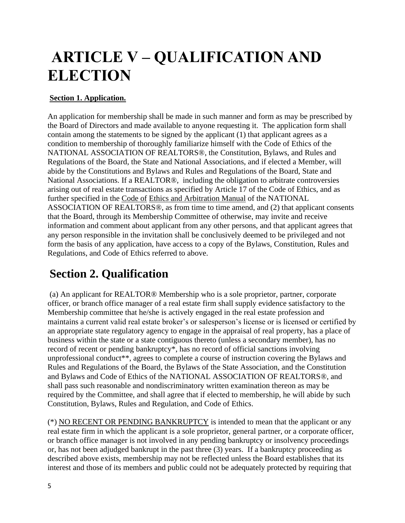# **ARTICLE V – QUALIFICATION AND ELECTION**

### **Section 1. Application.**

An application for membership shall be made in such manner and form as may be prescribed by the Board of Directors and made available to anyone requesting it. The application form shall contain among the statements to be signed by the applicant (1) that applicant agrees as a condition to membership of thoroughly familiarize himself with the Code of Ethics of the NATIONAL ASSOCIATION OF REALTORS®, the Constitution, Bylaws, and Rules and Regulations of the Board, the State and National Associations, and if elected a Member, will abide by the Constitutions and Bylaws and Rules and Regulations of the Board, State and National Associations. If a REALTOR®, including the obligation to arbitrate controversies arising out of real estate transactions as specified by Article 17 of the Code of Ethics, and as further specified in the Code of Ethics and Arbitration Manual of the NATIONAL ASSOCIATION OF REALTORS®, as from time to time amend, and (2) that applicant consents that the Board, through its Membership Committee of otherwise, may invite and receive information and comment about applicant from any other persons, and that applicant agrees that any person responsible in the invitation shall be conclusively deemed to be privileged and not form the basis of any application, have access to a copy of the Bylaws, Constitution, Rules and Regulations, and Code of Ethics referred to above.

### **Section 2. Qualification**

(a) An applicant for REALTOR® Membership who is a sole proprietor, partner, corporate officer, or branch office manager of a real estate firm shall supply evidence satisfactory to the Membership committee that he/she is actively engaged in the real estate profession and maintains a current valid real estate broker's or salesperson's license or is licensed or certified by an appropriate state regulatory agency to engage in the appraisal of real property, has a place of business within the state or a state contiguous thereto (unless a secondary member), has no record of recent or pending bankruptcy\*, has no record of official sanctions involving unprofessional conduct\*\*, agrees to complete a course of instruction covering the Bylaws and Rules and Regulations of the Board, the Bylaws of the State Association, and the Constitution and Bylaws and Code of Ethics of the NATIONAL ASSOCIATION OF REALTORS®, and shall pass such reasonable and nondiscriminatory written examination thereon as may be required by the Committee, and shall agree that if elected to membership, he will abide by such Constitution, Bylaws, Rules and Regulation, and Code of Ethics.

(\*) NO RECENT OR PENDING BANKRUPTCY is intended to mean that the applicant or any real estate firm in which the applicant is a sole proprietor, general partner, or a corporate officer, or branch office manager is not involved in any pending bankruptcy or insolvency proceedings or, has not been adjudged bankrupt in the past three (3) years. If a bankruptcy proceeding as described above exists, membership may not be reflected unless the Board establishes that its interest and those of its members and public could not be adequately protected by requiring that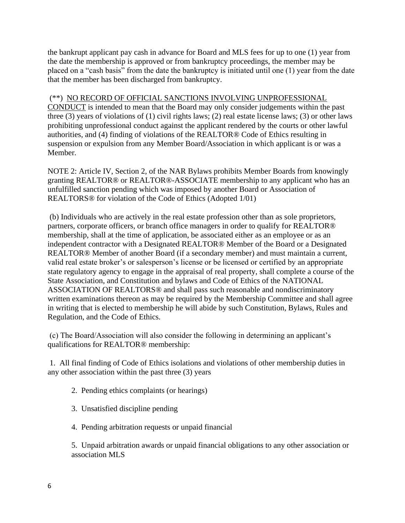the bankrupt applicant pay cash in advance for Board and MLS fees for up to one (1) year from the date the membership is approved or from bankruptcy proceedings, the member may be placed on a "cash basis" from the date the bankruptcy is initiated until one (1) year from the date that the member has been discharged from bankruptcy.

#### (\*\*) NO RECORD OF OFFICIAL SANCTIONS INVOLVING UNPROFESSIONAL

CONDUCT is intended to mean that the Board may only consider judgements within the past three (3) years of violations of (1) civil rights laws; (2) real estate license laws; (3) or other laws prohibiting unprofessional conduct against the applicant rendered by the courts or other lawful authorities, and (4) finding of violations of the REALTOR® Code of Ethics resulting in suspension or expulsion from any Member Board/Association in which applicant is or was a Member.

NOTE 2: Article IV, Section 2, of the NAR Bylaws prohibits Member Boards from knowingly granting REALTOR® or REALTOR®-ASSOCIATE membership to any applicant who has an unfulfilled sanction pending which was imposed by another Board or Association of REALTORS® for violation of the Code of Ethics (Adopted 1/01)

(b) Individuals who are actively in the real estate profession other than as sole proprietors, partners, corporate officers, or branch office managers in order to qualify for REALTOR® membership, shall at the time of application, be associated either as an employee or as an independent contractor with a Designated REALTOR® Member of the Board or a Designated REALTOR® Member of another Board (if a secondary member) and must maintain a current, valid real estate broker's or salesperson's license or be licensed or certified by an appropriate state regulatory agency to engage in the appraisal of real property, shall complete a course of the State Association, and Constitution and bylaws and Code of Ethics of the NATIONAL ASSOCIATION OF REALTORS® and shall pass such reasonable and nondiscriminatory written examinations thereon as may be required by the Membership Committee and shall agree in writing that is elected to membership he will abide by such Constitution, Bylaws, Rules and Regulation, and the Code of Ethics.

(c) The Board/Association will also consider the following in determining an applicant's qualifications for REALTOR® membership:

1. All final finding of Code of Ethics isolations and violations of other membership duties in any other association within the past three (3) years

- 2. Pending ethics complaints (or hearings)
- 3. Unsatisfied discipline pending
- 4. Pending arbitration requests or unpaid financial

5. Unpaid arbitration awards or unpaid financial obligations to any other association or association MLS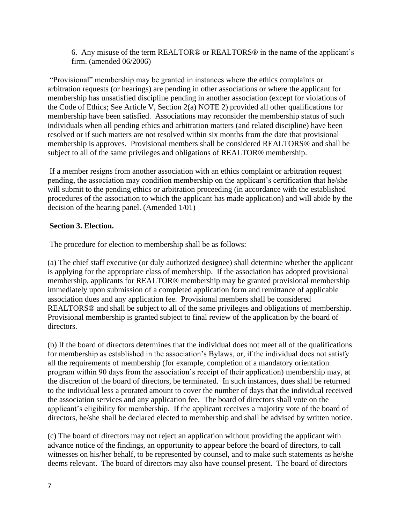6. Any misuse of the term REALTOR® or REALTORS® in the name of the applicant's firm. (amended 06/2006)

"Provisional" membership may be granted in instances where the ethics complaints or arbitration requests (or hearings) are pending in other associations or where the applicant for membership has unsatisfied discipline pending in another association (except for violations of the Code of Ethics; See Article V, Section 2(a) NOTE 2) provided all other qualifications for membership have been satisfied. Associations may reconsider the membership status of such individuals when all pending ethics and arbitration matters (and related discipline) have been resolved or if such matters are not resolved within six months from the date that provisional membership is approves. Provisional members shall be considered REALTORS® and shall be subject to all of the same privileges and obligations of REALTOR® membership.

If a member resigns from another association with an ethics complaint or arbitration request pending, the association may condition membership on the applicant's certification that he/she will submit to the pending ethics or arbitration proceeding (in accordance with the established procedures of the association to which the applicant has made application) and will abide by the decision of the hearing panel. (Amended 1/01)

#### **Section 3. Election.**

The procedure for election to membership shall be as follows:

(a) The chief staff executive (or duly authorized designee) shall determine whether the applicant is applying for the appropriate class of membership. If the association has adopted provisional membership, applicants for REALTOR® membership may be granted provisional membership immediately upon submission of a completed application form and remittance of applicable association dues and any application fee. Provisional members shall be considered REALTORS® and shall be subject to all of the same privileges and obligations of membership. Provisional membership is granted subject to final review of the application by the board of directors.

(b) If the board of directors determines that the individual does not meet all of the qualifications for membership as established in the association's Bylaws, or, if the individual does not satisfy all the requirements of membership (for example, completion of a mandatory orientation program within 90 days from the association's receipt of their application) membership may, at the discretion of the board of directors, be terminated. In such instances, dues shall be returned to the individual less a prorated amount to cover the number of days that the individual received the association services and any application fee. The board of directors shall vote on the applicant's eligibility for membership. If the applicant receives a majority vote of the board of directors, he/she shall be declared elected to membership and shall be advised by written notice.

(c) The board of directors may not reject an application without providing the applicant with advance notice of the findings, an opportunity to appear before the board of directors, to call witnesses on his/her behalf, to be represented by counsel, and to make such statements as he/she deems relevant. The board of directors may also have counsel present. The board of directors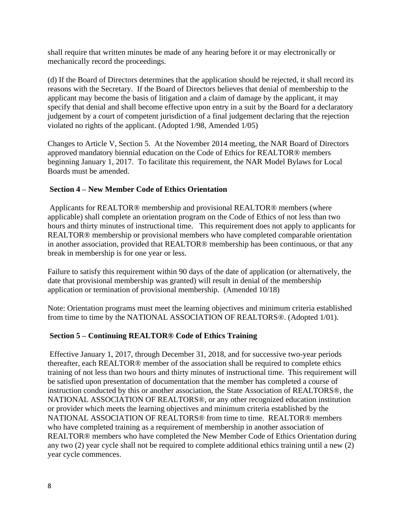shall require that written minutes be made of any hearing before it or may electronically or mechanically record the proceedings.

(d) If the Board of Directors determines that the application should be rejected, it shall record its reasons with the Secretary. If the Board of Directors believes that denial of membership to the applicant may become the basis of litigation and a claim of damage by the applicant, it may specify that denial and shall become effective upon entry in a suit by the Board for a declaratory judgement by a court of competent jurisdiction of a final judgement declaring that the rejection violated no rights of the applicant. (Adopted 1/98, Amended 1/05)

Changes to Article V, Section 5. At the November 2014 meeting, the NAR Board of Directors approved mandatory biennial education on the Code of Ethics for REALTOR® members beginning January 1, 2017. To facilitate this requirement, the NAR Model Bylaws for Local Boards must be amended.

#### **Section 4 – New Member Code of Ethics Orientation**

Applicants for REALTOR® membership and provisional REALTOR® members (where applicable) shall complete an orientation program on the Code of Ethics of not less than two hours and thirty minutes of instructional time. This requirement does not apply to applicants for REALTOR® membership or provisional members who have completed comparable orientation in another association, provided that REALTOR® membership has been continuous, or that any break in membership is for one year or less.

Failure to satisfy this requirement within 90 days of the date of application (or alternatively, the date that provisional membership was granted) will result in denial of the membership application or termination of provisional membership. (Amended 10/18)

Note: Orientation programs must meet the learning objectives and minimum criteria established from time to time by the NATIONAL ASSOCIATION OF REALTORS®. (Adopted 1/01).

#### **Section 5 – Continuing REALTOR® Code of Ethics Training**

Effective January 1, 2017, through December 31, 2018, and for successive two-year periods thereafter, each REALTOR® member of the association shall be required to complete ethics training of not less than two hours and thirty minutes of instructional time. This requirement will be satisfied upon presentation of documentation that the member has completed a course of instruction conducted by this or another association, the State Association of REALTORS®, the NATIONAL ASSOCIATION OF REALTORS®, or any other recognized education institution or provider which meets the learning objectives and minimum criteria established by the NATIONAL ASSOCIATION OF REALTORS® from time to time. REALTOR® members who have completed training as a requirement of membership in another association of REALTOR® members who have completed the New Member Code of Ethics Orientation during any two (2) year cycle shall not be required to complete additional ethics training until a new (2) year cycle commences.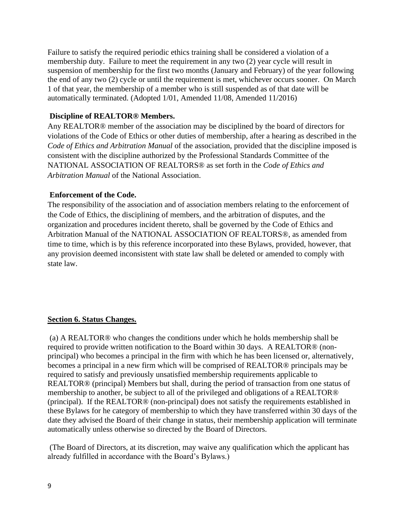Failure to satisfy the required periodic ethics training shall be considered a violation of a membership duty. Failure to meet the requirement in any two (2) year cycle will result in suspension of membership for the first two months (January and February) of the year following the end of any two (2) cycle or until the requirement is met, whichever occurs sooner. On March 1 of that year, the membership of a member who is still suspended as of that date will be automatically terminated. (Adopted 1/01, Amended 11/08, Amended 11/2016)

#### **Discipline of REALTOR® Members.**

Any REALTOR® member of the association may be disciplined by the board of directors for violations of the Code of Ethics or other duties of membership, after a hearing as described in the *Code of Ethics and Arbitration Manual* of the association, provided that the discipline imposed is consistent with the discipline authorized by the Professional Standards Committee of the NATIONAL ASSOCIATION OF REALTORS® as set forth in the *Code of Ethics and Arbitration Manual* of the National Association.

#### **Enforcement of the Code.**

The responsibility of the association and of association members relating to the enforcement of the Code of Ethics, the disciplining of members, and the arbitration of disputes, and the organization and procedures incident thereto, shall be governed by the Code of Ethics and Arbitration Manual of the NATIONAL ASSOCIATION OF REALTORS®, as amended from time to time, which is by this reference incorporated into these Bylaws, provided, however, that any provision deemed inconsistent with state law shall be deleted or amended to comply with state law.

#### **Section 6. Status Changes.**

(a) A REALTOR® who changes the conditions under which he holds membership shall be required to provide written notification to the Board within 30 days. A REALTOR® (nonprincipal) who becomes a principal in the firm with which he has been licensed or, alternatively, becomes a principal in a new firm which will be comprised of REALTOR® principals may be required to satisfy and previously unsatisfied membership requirements applicable to REALTOR® (principal) Members but shall, during the period of transaction from one status of membership to another, be subject to all of the privileged and obligations of a REALTOR® (principal). If the REALTOR® (non-principal) does not satisfy the requirements established in these Bylaws for he category of membership to which they have transferred within 30 days of the date they advised the Board of their change in status, their membership application will terminate automatically unless otherwise so directed by the Board of Directors.

(The Board of Directors, at its discretion, may waive any qualification which the applicant has already fulfilled in accordance with the Board's Bylaws.)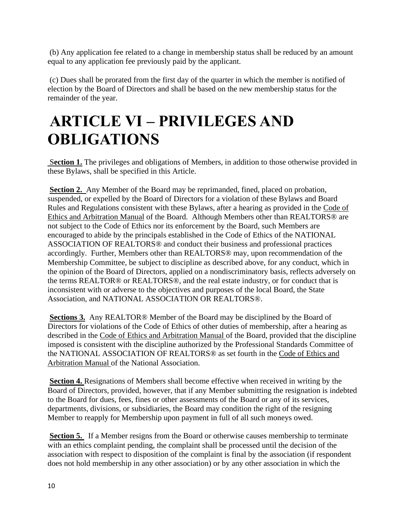(b) Any application fee related to a change in membership status shall be reduced by an amount equal to any application fee previously paid by the applicant.

(c) Dues shall be prorated from the first day of the quarter in which the member is notified of election by the Board of Directors and shall be based on the new membership status for the remainder of the year.

# **ARTICLE VI – PRIVILEGES AND OBLIGATIONS**

S**ection 1.** The privileges and obligations of Members, in addition to those otherwise provided in these Bylaws, shall be specified in this Article.

**Section 2.** Any Member of the Board may be reprimanded, fined, placed on probation, suspended, or expelled by the Board of Directors for a violation of these Bylaws and Board Rules and Regulations consistent with these Bylaws, after a hearing as provided in the Code of Ethics and Arbitration Manual of the Board. Although Members other than REALTORS® are not subject to the Code of Ethics nor its enforcement by the Board, such Members are encouraged to abide by the principals established in the Code of Ethics of the NATIONAL ASSOCIATION OF REALTORS® and conduct their business and professional practices accordingly. Further, Members other than REALTORS® may, upon recommendation of the Membership Committee, be subject to discipline as described above, for any conduct, which in the opinion of the Board of Directors, applied on a nondiscriminatory basis, reflects adversely on the terms REALTOR® or REALTORS®, and the real estate industry, or for conduct that is inconsistent with or adverse to the objectives and purposes of the local Board, the State Association, and NATIONAL ASSOCIATION OR REALTORS®.

**Sections 3.** Any REALTOR® Member of the Board may be disciplined by the Board of Directors for violations of the Code of Ethics of other duties of membership, after a hearing as described in the Code of Ethics and Arbitration Manual of the Board, provided that the discipline imposed is consistent with the discipline authorized by the Professional Standards Committee of the NATIONAL ASSOCIATION OF REALTORS® as set fourth in the Code of Ethics and Arbitration Manual of the National Association.

**Section 4.** Resignations of Members shall become effective when received in writing by the Board of Directors, provided, however, that if any Member submitting the resignation is indebted to the Board for dues, fees, fines or other assessments of the Board or any of its services, departments, divisions, or subsidiaries, the Board may condition the right of the resigning Member to reapply for Membership upon payment in full of all such moneys owed.

**Section 5.** If a Member resigns from the Board or otherwise causes membership to terminate with an ethics complaint pending, the complaint shall be processed until the decision of the association with respect to disposition of the complaint is final by the association (if respondent does not hold membership in any other association) or by any other association in which the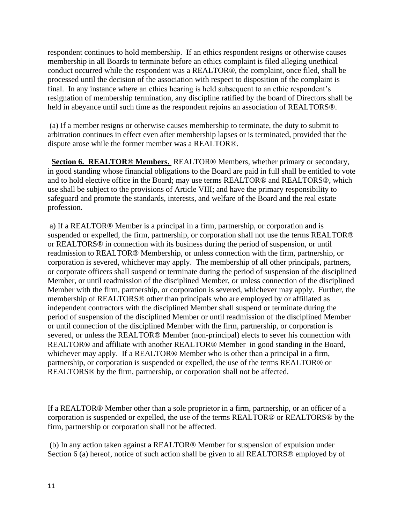respondent continues to hold membership. If an ethics respondent resigns or otherwise causes membership in all Boards to terminate before an ethics complaint is filed alleging unethical conduct occurred while the respondent was a REALTOR®, the complaint, once filed, shall be processed until the decision of the association with respect to disposition of the complaint is final. In any instance where an ethics hearing is held subsequent to an ethic respondent's resignation of membership termination, any discipline ratified by the board of Directors shall be held in abeyance until such time as the respondent rejoins an association of REALTORS®.

(a) If a member resigns or otherwise causes membership to terminate, the duty to submit to arbitration continues in effect even after membership lapses or is terminated, provided that the dispute arose while the former member was a REALTOR®.

 **Section 6. REALTOR® Members.** REALTOR® Members, whether primary or secondary, in good standing whose financial obligations to the Board are paid in full shall be entitled to vote and to hold elective office in the Board; may use terms REALTOR® and REALTORS®, which use shall be subject to the provisions of Article VIII; and have the primary responsibility to safeguard and promote the standards, interests, and welfare of the Board and the real estate profession.

a) If a REALTOR® Member is a principal in a firm, partnership, or corporation and is suspended or expelled, the firm, partnership, or corporation shall not use the terms REALTOR® or REALTORS® in connection with its business during the period of suspension, or until readmission to REALTOR® Membership, or unless connection with the firm, partnership, or corporation is severed, whichever may apply. The membership of all other principals, partners, or corporate officers shall suspend or terminate during the period of suspension of the disciplined Member, or until readmission of the disciplined Member, or unless connection of the disciplined Member with the firm, partnership, or corporation is severed, whichever may apply. Further, the membership of REALTORS® other than principals who are employed by or affiliated as independent contractors with the disciplined Member shall suspend or terminate during the period of suspension of the disciplined Member or until readmission of the disciplined Member or until connection of the disciplined Member with the firm, partnership, or corporation is severed, or unless the REALTOR® Member (non-principal) elects to sever his connection with REALTOR® and affiliate with another REALTOR® Member in good standing in the Board, whichever may apply. If a REALTOR<sup>®</sup> Member who is other than a principal in a firm, partnership, or corporation is suspended or expelled, the use of the terms REALTOR® or REALTORS® by the firm, partnership, or corporation shall not be affected.

If a REALTOR® Member other than a sole proprietor in a firm, partnership, or an officer of a corporation is suspended or expelled, the use of the terms REALTOR® or REALTORS® by the firm, partnership or corporation shall not be affected.

(b) In any action taken against a REALTOR® Member for suspension of expulsion under Section 6 (a) hereof, notice of such action shall be given to all REALTORS® employed by of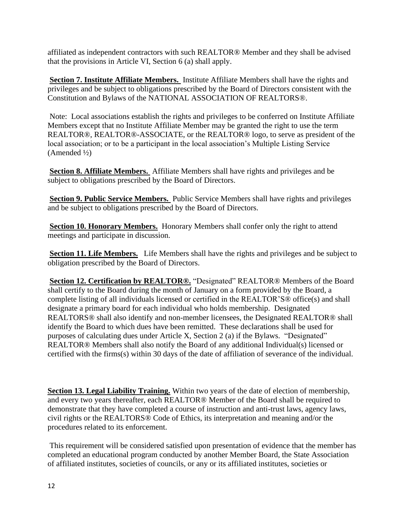affiliated as independent contractors with such REALTOR® Member and they shall be advised that the provisions in Article VI, Section 6 (a) shall apply.

**Section 7. Institute Affiliate Members.** Institute Affiliate Members shall have the rights and privileges and be subject to obligations prescribed by the Board of Directors consistent with the Constitution and Bylaws of the NATIONAL ASSOCIATION OF REALTORS®.

Note: Local associations establish the rights and privileges to be conferred on Institute Affiliate Members except that no Institute Affiliate Member may be granted the right to use the term REALTOR®, REALTOR®-ASSOCIATE, or the REALTOR® logo, to serve as president of the local association; or to be a participant in the local association's Multiple Listing Service (Amended ½)

**Section 8. Affiliate Members.** Affiliate Members shall have rights and privileges and be subject to obligations prescribed by the Board of Directors.

**Section 9. Public Service Members.** Public Service Members shall have rights and privileges and be subject to obligations prescribed by the Board of Directors.

**Section 10. Honorary Members.** Honorary Members shall confer only the right to attend meetings and participate in discussion.

**Section 11. Life Members.** Life Members shall have the rights and privileges and be subject to obligation prescribed by the Board of Directors.

**Section 12. Certification by REALTOR®.** "Designated" REALTOR® Members of the Board shall certify to the Board during the month of January on a form provided by the Board, a complete listing of all individuals licensed or certified in the REALTOR'S® office(s) and shall designate a primary board for each individual who holds membership. Designated REALTORS® shall also identify and non-member licensees, the Designated REALTOR® shall identify the Board to which dues have been remitted. These declarations shall be used for purposes of calculating dues under Article X, Section 2 (a) if the Bylaws. "Designated" REALTOR® Members shall also notify the Board of any additional Individual(s) licensed or certified with the firms(s) within 30 days of the date of affiliation of severance of the individual.

**Section 13. Legal Liability Training.** Within two years of the date of election of membership, and every two years thereafter, each REALTOR® Member of the Board shall be required to demonstrate that they have completed a course of instruction and anti-trust laws, agency laws, civil rights or the REALTORS® Code of Ethics, its interpretation and meaning and/or the procedures related to its enforcement.

This requirement will be considered satisfied upon presentation of evidence that the member has completed an educational program conducted by another Member Board, the State Association of affiliated institutes, societies of councils, or any or its affiliated institutes, societies or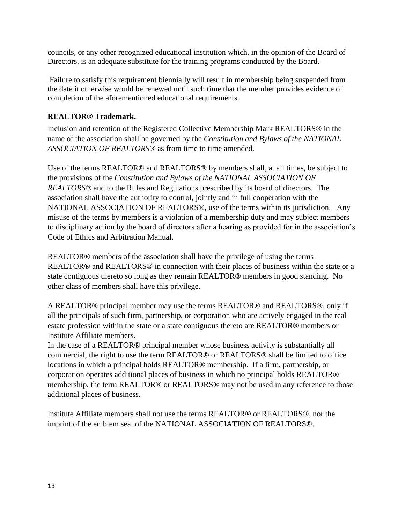councils, or any other recognized educational institution which, in the opinion of the Board of Directors, is an adequate substitute for the training programs conducted by the Board.

Failure to satisfy this requirement biennially will result in membership being suspended from the date it otherwise would be renewed until such time that the member provides evidence of completion of the aforementioned educational requirements.

### **REALTOR® Trademark.**

Inclusion and retention of the Registered Collective Membership Mark REALTORS® in the name of the association shall be governed by the *Constitution and Bylaws of the NATIONAL ASSOCIATION OF REALTORS®* as from time to time amended.

Use of the terms REALTOR® and REALTORS® by members shall, at all times, be subject to the provisions of the *Constitution and Bylaws of the NATIONAL ASSOCIATION OF REALTORS®* and to the Rules and Regulations prescribed by its board of directors. The association shall have the authority to control, jointly and in full cooperation with the NATIONAL ASSOCIATION OF REALTORS®, use of the terms within its jurisdiction. Any misuse of the terms by members is a violation of a membership duty and may subject members to disciplinary action by the board of directors after a hearing as provided for in the association's Code of Ethics and Arbitration Manual.

REALTOR® members of the association shall have the privilege of using the terms REALTOR<sup>®</sup> and REALTORS<sup>®</sup> in connection with their places of business within the state or a state contiguous thereto so long as they remain REALTOR® members in good standing. No other class of members shall have this privilege.

A REALTOR® principal member may use the terms REALTOR® and REALTORS®, only if all the principals of such firm, partnership, or corporation who are actively engaged in the real estate profession within the state or a state contiguous thereto are REALTOR® members or Institute Affiliate members.

In the case of a REALTOR® principal member whose business activity is substantially all commercial, the right to use the term REALTOR® or REALTORS® shall be limited to office locations in which a principal holds REALTOR® membership. If a firm, partnership, or corporation operates additional places of business in which no principal holds REALTOR® membership, the term REALTOR® or REALTORS® may not be used in any reference to those additional places of business.

Institute Affiliate members shall not use the terms REALTOR® or REALTORS®, nor the imprint of the emblem seal of the NATIONAL ASSOCIATION OF REALTORS®.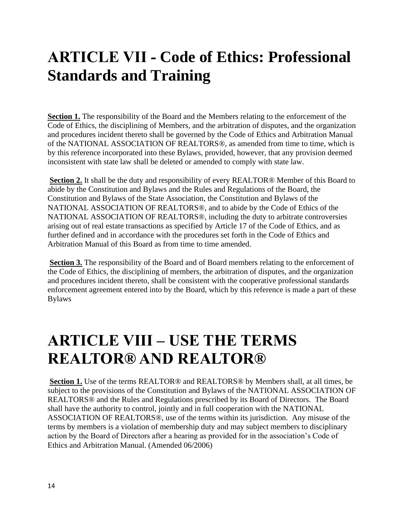### **ARTICLE VII - Code of Ethics: Professional Standards and Training**

**Section 1.** The responsibility of the Board and the Members relating to the enforcement of the Code of Ethics, the disciplining of Members, and the arbitration of disputes, and the organization and procedures incident thereto shall be governed by the Code of Ethics and Arbitration Manual of the NATIONAL ASSOCIATION OF REALTORS®, as amended from time to time, which is by this reference incorporated into these Bylaws, provided, however, that any provision deemed inconsistent with state law shall be deleted or amended to comply with state law.

**Section 2.** It shall be the duty and responsibility of every REALTOR® Member of this Board to abide by the Constitution and Bylaws and the Rules and Regulations of the Board, the Constitution and Bylaws of the State Association, the Constitution and Bylaws of the NATIONAL ASSOCIATION OF REALTORS®, and to abide by the Code of Ethics of the NATIONAL ASSOCIATION OF REALTORS®, including the duty to arbitrate controversies arising out of real estate transactions as specified by Article 17 of the Code of Ethics, and as further defined and in accordance with the procedures set forth in the Code of Ethics and Arbitration Manual of this Board as from time to time amended.

**Section 3.** The responsibility of the Board and of Board members relating to the enforcement of the Code of Ethics, the disciplining of members, the arbitration of disputes, and the organization and procedures incident thereto, shall be consistent with the cooperative professional standards enforcement agreement entered into by the Board, which by this reference is made a part of these Bylaws

### **ARTICLE VIII – USE THE TERMS REALTOR® AND REALTOR®**

**Section 1.** Use of the terms REALTOR® and REALTORS® by Members shall, at all times, be subject to the provisions of the Constitution and Bylaws of the NATIONAL ASSOCIATION OF REALTORS® and the Rules and Regulations prescribed by its Board of Directors. The Board shall have the authority to control, jointly and in full cooperation with the NATIONAL ASSOCIATION OF REALTORS®, use of the terms within its jurisdiction. Any misuse of the terms by members is a violation of membership duty and may subject members to disciplinary action by the Board of Directors after a hearing as provided for in the association's Code of Ethics and Arbitration Manual. (Amended 06/2006)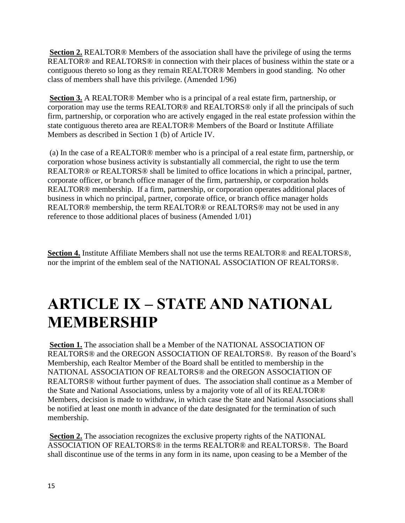**Section 2.** REALTOR® Members of the association shall have the privilege of using the terms REALTOR® and REALTORS® in connection with their places of business within the state or a contiguous thereto so long as they remain REALTOR® Members in good standing. No other class of members shall have this privilege. (Amended 1/96)

**Section 3.** A REALTOR® Member who is a principal of a real estate firm, partnership, or corporation may use the terms REALTOR® and REALTORS® only if all the principals of such firm, partnership, or corporation who are actively engaged in the real estate profession within the state contiguous thereto area are REALTOR® Members of the Board or Institute Affiliate Members as described in Section 1 (b) of Article IV.

(a) In the case of a REALTOR® member who is a principal of a real estate firm, partnership, or corporation whose business activity is substantially all commercial, the right to use the term REALTOR® or REALTORS® shall be limited to office locations in which a principal, partner, corporate officer, or branch office manager of the firm, partnership, or corporation holds REALTOR® membership. If a firm, partnership, or corporation operates additional places of business in which no principal, partner, corporate office, or branch office manager holds REALTOR® membership, the term REALTOR® or REALTORS® may not be used in any reference to those additional places of business (Amended 1/01)

**Section 4.** Institute Affiliate Members shall not use the terms REALTOR® and REALTORS®, nor the imprint of the emblem seal of the NATIONAL ASSOCIATION OF REALTORS®.

### **ARTICLE IX – STATE AND NATIONAL MEMBERSHIP**

**Section 1.** The association shall be a Member of the NATIONAL ASSOCIATION OF REALTORS® and the OREGON ASSOCIATION OF REALTORS®. By reason of the Board's Membership, each Realtor Member of the Board shall be entitled to membership in the NATIONAL ASSOCIATION OF REALTORS® and the OREGON ASSOCIATION OF REALTORS® without further payment of dues. The association shall continue as a Member of the State and National Associations, unless by a majority vote of all of its REALTOR® Members, decision is made to withdraw, in which case the State and National Associations shall be notified at least one month in advance of the date designated for the termination of such membership.

**Section 2.** The association recognizes the exclusive property rights of the NATIONAL ASSOCIATION OF REALTORS® in the terms REALTOR® and REALTORS®. The Board shall discontinue use of the terms in any form in its name, upon ceasing to be a Member of the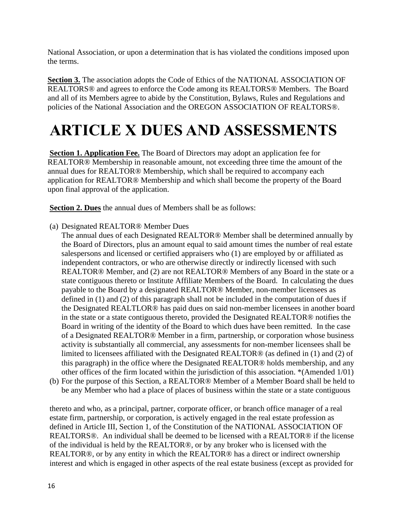National Association, or upon a determination that is has violated the conditions imposed upon the terms.

**Section 3.** The association adopts the Code of Ethics of the NATIONAL ASSOCIATION OF REALTORS® and agrees to enforce the Code among its REALTORS® Members. The Board and all of its Members agree to abide by the Constitution, Bylaws, Rules and Regulations and policies of the National Association and the OREGON ASSOCIATION OF REALTORS®.

# **ARTICLE X DUES AND ASSESSMENTS**

**Section 1. Application Fee.** The Board of Directors may adopt an application fee for REALTOR® Membership in reasonable amount, not exceeding three time the amount of the annual dues for REALTOR® Membership, which shall be required to accompany each application for REALTOR® Membership and which shall become the property of the Board upon final approval of the application.

**Section 2. Dues** the annual dues of Members shall be as follows:

- (a) Designated REALTOR® Member Dues
	- The annual dues of each Designated REALTOR® Member shall be determined annually by the Board of Directors, plus an amount equal to said amount times the number of real estate salespersons and licensed or certified appraisers who (1) are employed by or affiliated as independent contractors, or who are otherwise directly or indirectly licensed with such REALTOR® Member, and (2) are not REALTOR® Members of any Board in the state or a state contiguous thereto or Institute Affiliate Members of the Board. In calculating the dues payable to the Board by a designated REALTOR® Member, non-member licensees as defined in (1) and (2) of this paragraph shall not be included in the computation of dues if the Designated REALTLOR® has paid dues on said non-member licensees in another board in the state or a state contiguous thereto, provided the Designated REALTOR® notifies the Board in writing of the identity of the Board to which dues have been remitted. In the case of a Designated REALTOR® Member in a firm, partnership, or corporation whose business activity is substantially all commercial, any assessments for non-member licensees shall be limited to licensees affiliated with the Designated REALTOR® (as defined in (1) and (2) of this paragraph) in the office where the Designated REALTOR® holds membership, and any other offices of the firm located within the jurisdiction of this association. \*(Amended 1/01)
- (b) For the purpose of this Section, a REALTOR® Member of a Member Board shall be held to be any Member who had a place of places of business within the state or a state contiguous

thereto and who, as a principal, partner, corporate officer, or branch office manager of a real estate firm, partnership, or corporation, is actively engaged in the real estate profession as defined in Article III, Section 1, of the Constitution of the NATIONAL ASSOCIATION OF REALTORS®. An individual shall be deemed to be licensed with a REALTOR® if the license of the individual is held by the REALTOR®, or by any broker who is licensed with the REALTOR®, or by any entity in which the REALTOR® has a direct or indirect ownership interest and which is engaged in other aspects of the real estate business (except as provided for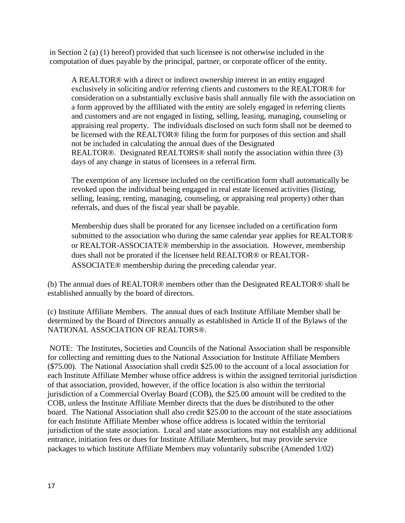in Section 2 (a) (1) hereof) provided that such licensee is not otherwise included in the computation of dues payable by the principal, partner, or corporate officer of the entity.

A REALTOR® with a direct or indirect ownership interest in an entity engaged exclusively in soliciting and/or referring clients and customers to the REALTOR® for consideration on a substantially exclusive basis shall annually file with the association on a form approved by the affiliated with the entity are solely engaged in referring clients and customers and are not engaged in listing, selling, leasing, managing, counseling or appraising real property. The individuals disclosed on such form shall not be deemed to be licensed with the REALTOR® filing the form for purposes of this section and shall not be included in calculating the annual dues of the Designated REALTOR®. Designated REALTORS® shall notify the association within three (3) days of any change in status of licensees in a referral firm.

The exemption of any licensee included on the certification form shall automatically be revoked upon the individual being engaged in real estate licensed activities (listing, selling, leasing, renting, managing, counseling, or appraising real property) other than referrals, and dues of the fiscal year shall be payable.

Membership dues shall be prorated for any licensee included on a certification form submitted to the association who during the same calendar year applies for REALTOR® or REALTOR-ASSOCIATE® membership in the association. However, membership dues shall not be prorated if the licensee held REALTOR® or REALTOR-ASSOCIATE® membership during the preceding calendar year.

(b) The annual dues of REALTOR® members other than the Designated REALTOR® shall be established annually by the board of directors.

(c) Institute Affiliate Members. The annual dues of each Institute Affiliate Member shall be determined by the Board of Directors annually as established in Article II of the Bylaws of the NATIONAL ASSOCIATION OF REALTORS®.

NOTE: The Institutes, Societies and Councils of the National Association shall be responsible for collecting and remitting dues to the National Association for Institute Affiliate Members (\$75.00). The National Association shall credit \$25.00 to the account of a local association for each Institute Affiliate Member whose office address is within the assigned territorial jurisdiction of that association, provided, however, if the office location is also within the territorial jurisdiction of a Commercial Overlay Board (COB), the \$25.00 amount will be credited to the COB, unless the Institute Affiliate Member directs that the dues be distributed to the other board. The National Association shall also credit \$25.00 to the account of the state associations for each Institute Affiliate Member whose office address is located within the territorial jurisdiction of the state association. Local and state associations may not establish any additional entrance, initiation fees or dues for Institute Affiliate Members, but may provide service packages to which Institute Affiliate Members may voluntarily subscribe (Amended 1/02)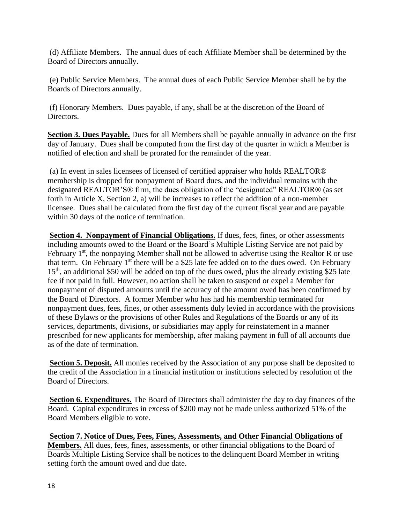(d) Affiliate Members. The annual dues of each Affiliate Member shall be determined by the Board of Directors annually.

(e) Public Service Members. The annual dues of each Public Service Member shall be by the Boards of Directors annually.

(f) Honorary Members. Dues payable, if any, shall be at the discretion of the Board of Directors.

**Section 3. Dues Payable.** Dues for all Members shall be payable annually in advance on the first day of January. Dues shall be computed from the first day of the quarter in which a Member is notified of election and shall be prorated for the remainder of the year.

(a) In event in sales licensees of licensed of certified appraiser who holds REALTOR® membership is dropped for nonpayment of Board dues, and the individual remains with the designated REALTOR'S® firm, the dues obligation of the "designated" REALTOR® (as set forth in Article X, Section 2, a) will be increases to reflect the addition of a non-member licensee. Dues shall be calculated from the first day of the current fiscal year and are payable within 30 days of the notice of termination.

**Section 4. Nonpayment of Financial Obligations.** If dues, fees, fines, or other assessments including amounts owed to the Board or the Board's Multiple Listing Service are not paid by February  $1<sup>st</sup>$ , the nonpaying Member shall not be allowed to advertise using the Realtor R or use that term. On February  $1<sup>st</sup>$  there will be a \$25 late fee added on to the dues owed. On February 15<sup>th</sup>, an additional \$50 will be added on top of the dues owed, plus the already existing \$25 late fee if not paid in full. However, no action shall be taken to suspend or expel a Member for nonpayment of disputed amounts until the accuracy of the amount owed has been confirmed by the Board of Directors. A former Member who has had his membership terminated for nonpayment dues, fees, fines, or other assessments duly levied in accordance with the provisions of these Bylaws or the provisions of other Rules and Regulations of the Boards or any of its services, departments, divisions, or subsidiaries may apply for reinstatement in a manner prescribed for new applicants for membership, after making payment in full of all accounts due as of the date of termination.

**Section 5. Deposit.** All monies received by the Association of any purpose shall be deposited to the credit of the Association in a financial institution or institutions selected by resolution of the Board of Directors.

**Section 6. Expenditures.** The Board of Directors shall administer the day to day finances of the Board. Capital expenditures in excess of \$200 may not be made unless authorized 51% of the Board Members eligible to vote.

**Section 7. Notice of Dues, Fees, Fines, Assessments, and Other Financial Obligations of Members.** All dues, fees, fines, assessments, or other financial obligations to the Board of Boards Multiple Listing Service shall be notices to the delinquent Board Member in writing setting forth the amount owed and due date.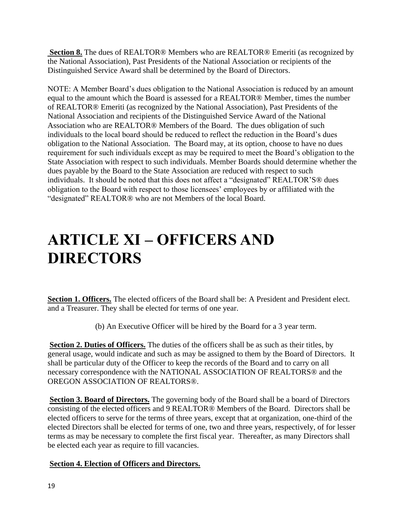**Section 8.** The dues of REALTOR® Members who are REALTOR® Emeriti (as recognized by the National Association), Past Presidents of the National Association or recipients of the Distinguished Service Award shall be determined by the Board of Directors.

NOTE: A Member Board's dues obligation to the National Association is reduced by an amount equal to the amount which the Board is assessed for a REALTOR® Member, times the number of REALTOR® Emeriti (as recognized by the National Association), Past Presidents of the National Association and recipients of the Distinguished Service Award of the National Association who are REALTOR® Members of the Board. The dues obligation of such individuals to the local board should be reduced to reflect the reduction in the Board's dues obligation to the National Association. The Board may, at its option, choose to have no dues requirement for such individuals except as may be required to meet the Board's obligation to the State Association with respect to such individuals. Member Boards should determine whether the dues payable by the Board to the State Association are reduced with respect to such individuals. It should be noted that this does not affect a "designated" REALTOR'S® dues obligation to the Board with respect to those licensees' employees by or affiliated with the "designated" REALTOR® who are not Members of the local Board.

### **ARTICLE XI – OFFICERS AND DIRECTORS**

**Section 1. Officers.** The elected officers of the Board shall be: A President and President elect. and a Treasurer. They shall be elected for terms of one year.

(b) An Executive Officer will be hired by the Board for a 3 year term.

**Section 2. Duties of Officers.** The duties of the officers shall be as such as their titles, by general usage, would indicate and such as may be assigned to them by the Board of Directors. It shall be particular duty of the Officer to keep the records of the Board and to carry on all necessary correspondence with the NATIONAL ASSOCIATION OF REALTORS® and the OREGON ASSOCIATION OF REALTORS®.

**Section 3. Board of Directors.** The governing body of the Board shall be a board of Directors consisting of the elected officers and 9 REALTOR® Members of the Board. Directors shall be elected officers to serve for the terms of three years, except that at organization, one-third of the elected Directors shall be elected for terms of one, two and three years, respectively, of for lesser terms as may be necessary to complete the first fiscal year. Thereafter, as many Directors shall be elected each year as require to fill vacancies.

### **Section 4. Election of Officers and Directors.**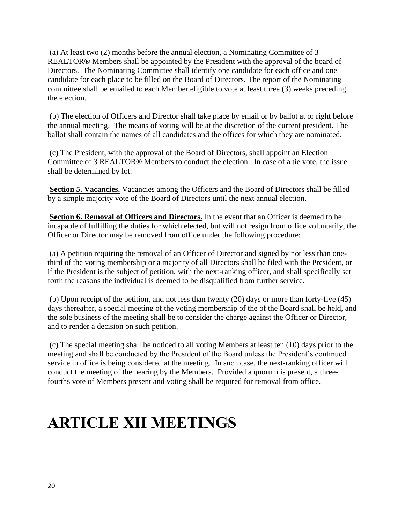(a) At least two (2) months before the annual election, a Nominating Committee of 3 REALTOR® Members shall be appointed by the President with the approval of the board of Directors. The Nominating Committee shall identify one candidate for each office and one candidate for each place to be filled on the Board of Directors. The report of the Nominating committee shall be emailed to each Member eligible to vote at least three (3) weeks preceding the election.

(b) The election of Officers and Director shall take place by email or by ballot at or right before the annual meeting. The means of voting will be at the discretion of the current president. The ballot shall contain the names of all candidates and the offices for which they are nominated.

(c) The President, with the approval of the Board of Directors, shall appoint an Election Committee of 3 REALTOR® Members to conduct the election. In case of a tie vote, the issue shall be determined by lot.

**Section 5. Vacancies.** Vacancies among the Officers and the Board of Directors shall be filled by a simple majority vote of the Board of Directors until the next annual election.

**Section 6. Removal of Officers and Directors.** In the event that an Officer is deemed to be incapable of fulfilling the duties for which elected, but will not resign from office voluntarily, the Officer or Director may be removed from office under the following procedure:

(a) A petition requiring the removal of an Officer of Director and signed by not less than onethird of the voting membership or a majority of all Directors shall be filed with the President, or if the President is the subject of petition, with the next-ranking officer, and shall specifically set forth the reasons the individual is deemed to be disqualified from further service.

(b) Upon receipt of the petition, and not less than twenty (20) days or more than forty-five (45) days thereafter, a special meeting of the voting membership of the of the Board shall be held, and the sole business of the meeting shall be to consider the charge against the Officer or Director, and to render a decision on such petition.

(c) The special meeting shall be noticed to all voting Members at least ten (10) days prior to the meeting and shall be conducted by the President of the Board unless the President's continued service in office is being considered at the meeting. In such case, the next-ranking officer will conduct the meeting of the hearing by the Members. Provided a quorum is present, a threefourths vote of Members present and voting shall be required for removal from office.

### **ARTICLE XII MEETINGS**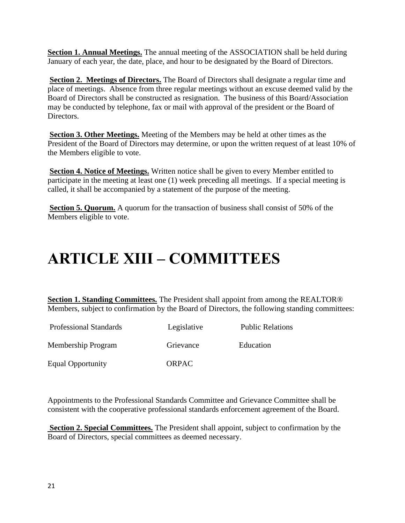**Section 1. Annual Meetings.** The annual meeting of the ASSOCIATION shall be held during January of each year, the date, place, and hour to be designated by the Board of Directors.

**Section 2. Meetings of Directors.** The Board of Directors shall designate a regular time and place of meetings. Absence from three regular meetings without an excuse deemed valid by the Board of Directors shall be constructed as resignation. The business of this Board/Association may be conducted by telephone, fax or mail with approval of the president or the Board of Directors.

**Section 3. Other Meetings.** Meeting of the Members may be held at other times as the President of the Board of Directors may determine, or upon the written request of at least 10% of the Members eligible to vote.

**Section 4. Notice of Meetings.** Written notice shall be given to every Member entitled to participate in the meeting at least one (1) week preceding all meetings. If a special meeting is called, it shall be accompanied by a statement of the purpose of the meeting.

**Section 5. Quorum.** A quorum for the transaction of business shall consist of 50% of the Members eligible to vote.

### **ARTICLE XIII – COMMITTEES**

**Section 1. Standing Committees.** The President shall appoint from among the REALTOR® Members, subject to confirmation by the Board of Directors, the following standing committees:

Professional Standards Legislative Public Relations

Membership Program Grievance Education

Equal Opportunity ORPAC

Appointments to the Professional Standards Committee and Grievance Committee shall be consistent with the cooperative professional standards enforcement agreement of the Board.

**Section 2. Special Committees.** The President shall appoint, subject to confirmation by the Board of Directors, special committees as deemed necessary.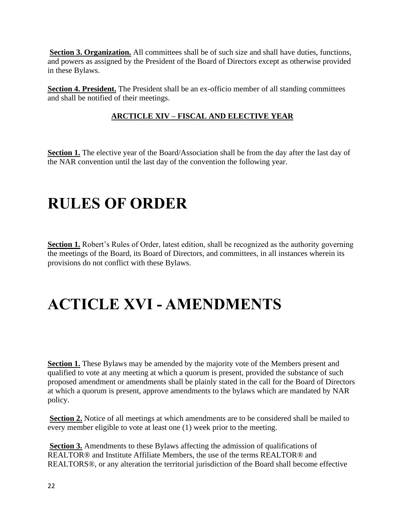**Section 3. Organization.** All committees shall be of such size and shall have duties, functions, and powers as assigned by the President of the Board of Directors except as otherwise provided in these Bylaws.

**Section 4. President.** The President shall be an ex-officio member of all standing committees and shall be notified of their meetings.

### **ARCTICLE XIV – FISCAL AND ELECTIVE YEAR**

**Section 1.** The elective year of the Board/Association shall be from the day after the last day of the NAR convention until the last day of the convention the following year.

### **RULES OF ORDER**

**Section 1.** Robert's Rules of Order, latest edition, shall be recognized as the authority governing the meetings of the Board, its Board of Directors, and committees, in all instances wherein its provisions do not conflict with these Bylaws.

# **ACTICLE XVI - AMENDMENTS**

**Section 1.** These Bylaws may be amended by the majority vote of the Members present and qualified to vote at any meeting at which a quorum is present, provided the substance of such proposed amendment or amendments shall be plainly stated in the call for the Board of Directors at which a quorum is present, approve amendments to the bylaws which are mandated by NAR policy.

**Section 2.** Notice of all meetings at which amendments are to be considered shall be mailed to every member eligible to vote at least one (1) week prior to the meeting.

**Section 3.** Amendments to these Bylaws affecting the admission of qualifications of REALTOR® and Institute Affiliate Members, the use of the terms REALTOR® and REALTORS®, or any alteration the territorial jurisdiction of the Board shall become effective